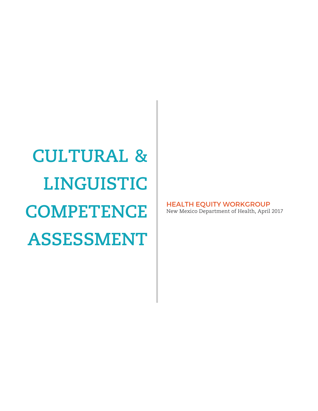**CULTURAL & LINGUISTIC COMPETENCE ASSESSMENT**

HEALTH EQUITY WORKGROUP New Mexico Department of Health, April 2017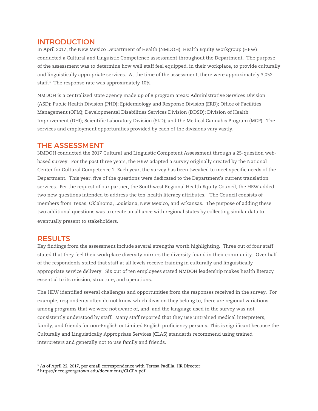### INTRODUCTION

In April 2017, the New Mexico Department of Health (NMDOH), Health Equity Workgroup (HEW) conducted a Cultural and Linguistic Competence assessment throughout the Department. The purpose of the assessment was to determine how well staff feel equipped, in their workplace, to provide culturally and linguistically appropriate services. At the time of the assessment, there were approximately 3,052 staff. $1$  The response rate was approximately 10%.

NMDOH is a centralized state agency made up of 8 program areas: Administrative Services Division (ASD); Public Health Division (PHD); Epidemiology and Response Division (ERD); Office of Facilities Management (OFM); Developmental Disabilities Services Division (DDSD); Division of Health Improvement (DHI); Scientific Laboratory Division (SLD); and the Medical Cannabis Program (MCP). The services and employment opportunities provided by each of the divisions vary vastly.

#### THE ASSESSMENT

NMDOH conducted the 2017 Cultural and Linguistic Competent Assessment through a 25-question webbased survey. For the past three years, the HEW adapted a survey originally created by the National Center for Cultural Competence.[2](#page-1-1) Each year, the survey has been tweaked to meet specific needs of the Department. This year, five of the questions were dedicated to the Department's current translation services. Per the request of our partner, the Southwest Regional Health Equity Council, the HEW added two new questions intended to address the ten-health literacy attributes. The Council consists of members from Texas, Oklahoma, Louisiana, New Mexico, and Arkansas. The purpose of adding these two additional questions was to create an alliance with regional states by collecting similar data to eventually present to stakeholders.

### RESULTS

Key findings from the assessment include several strengths worth highlighting. Three out of four staff stated that they feel their workplace diversity mirrors the diversity found in their community. Over half of the respondents stated that staff at all levels receive training in culturally and linguistically appropriate service delivery. Six out of ten employees stated NMDOH leadership makes health literacy essential to its mission, structure, and operations.

The HEW identified several challenges and opportunities from the responses received in the survey. For example, respondents often do not know which division they belong to, there are regional variations among programs that we were not aware of, and, and the language used in the survey was not consistently understood by staff. Many staff reported that they use untrained medical interpreters, family, and friends for non-English or Limited English proficiency persons. This is significant because the Culturally and Linguistically Appropriate Services (CLAS) standards recommend using trained interpreters and generally not to use family and friends.

l  $^{\rm 1}$  As of April 22, 2017, per email correspondence with Teresa Padilla, HR Director

<span id="page-1-1"></span><span id="page-1-0"></span><sup>2</sup> https://nccc.georgetown.edu/documents/CLCPA.pdf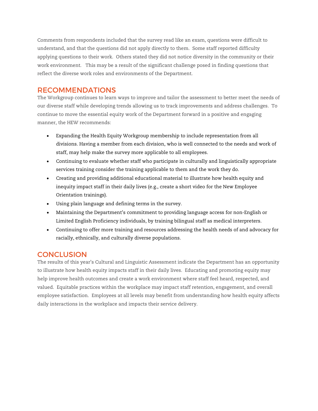Comments from respondents included that the survey read like an exam, questions were difficult to understand, and that the questions did not apply directly to them. Some staff reported difficulty applying questions to their work. Others stated they did not notice diversity in the community or their work environment. This may be a result of the significant challenge posed in finding questions that reflect the diverse work roles and environments of the Department.

### RECOMMENDATIONS

The Workgroup continues to learn ways to improve and tailor the assessment to better meet the needs of our diverse staff while developing trends allowing us to track improvements and address challenges. To continue to move the essential equity work of the Department forward in a positive and engaging manner, the HEW recommends:

- Expanding the Health Equity Workgroup membership to include representation from all divisions. Having a member from each division, who is well connected to the needs and work of staff, may help make the survey more applicable to all employees.
- Continuing to evaluate whether staff who participate in culturally and linguistically appropriate services training consider the training applicable to them and the work they do.
- Creating and providing additional educational material to illustrate how health equity and inequity impact staff in their daily lives (e.g., create a short video for the New Employee Orientation trainings).
- Using plain language and defining terms in the survey.
- Maintaining the Department's commitment to providing language access for non-English or Limited English Proficiency individuals, by training bilingual staff as medical interpreters.
- Continuing to offer more training and resources addressing the health needs of and advocacy for racially, ethnically, and culturally diverse populations.

# **CONCLUSION**

The results of this year's Cultural and Linguistic Assessment indicate the Department has an opportunity to illustrate how health equity impacts staff in their daily lives. Educating and promoting equity may help improve health outcomes and create a work environment where staff feel heard, respected, and valued. Equitable practices within the workplace may impact staff retention, engagement, and overall employee satisfaction. Employees at all levels may benefit from understanding how health equity affects daily interactions in the workplace and impacts their service delivery.